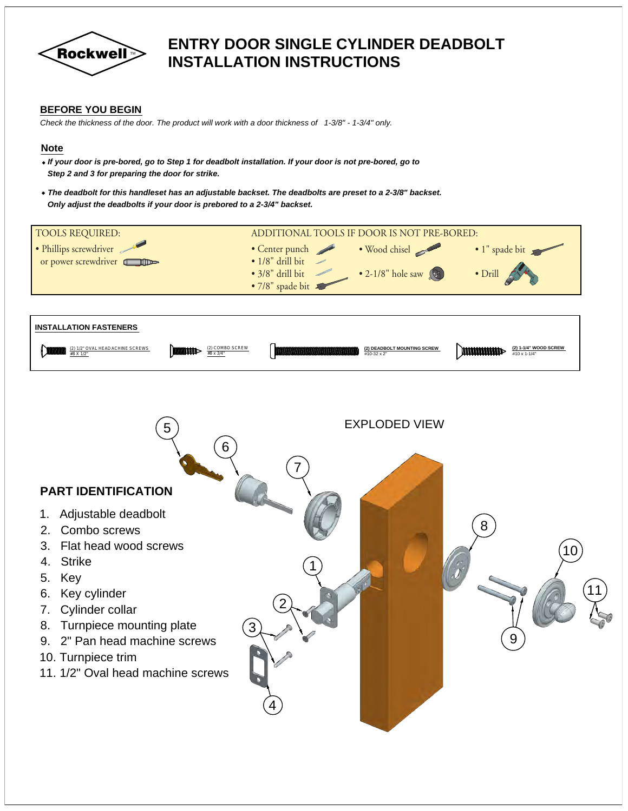

### **ENTRY DOOR SINGLE CYLINDER DEADBOLT INSTALLATION INSTRUCTIONS**

#### **BEFORE YOU BEGIN**

*Check the thickness of the door. The product will work with a door thickness of 1-3/8" - 1-3/4" only.*

#### **Note**

- · *If your door is pre-bored, go to Step 1 for deadbolt installation. If your door is not pre-bored, go to Step 2 and 3 for preparing the door for strike.*
- · *The deadbolt for this handleset has an adjustable backset. The deadbolts are preset to a 2-3/8" backset. Only adjust the deadbolts if your door is prebored to a 2-3/4" backset.*